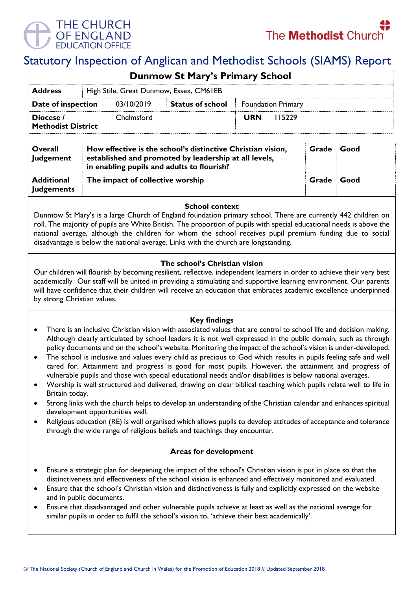



# Statutory Inspection of Anglican and Methodist Schools (SIAMS) Report

| <b>Dunmow St Mary's Primary School</b>                    |  |            |                         |                           |        |  |  |
|-----------------------------------------------------------|--|------------|-------------------------|---------------------------|--------|--|--|
| High Stile, Great Dunmow, Essex, CM61EB<br><b>Address</b> |  |            |                         |                           |        |  |  |
| Date of inspection                                        |  | 03/10/2019 | <b>Status of school</b> | <b>Foundation Primary</b> |        |  |  |
| Diocese /<br><b>Methodist District</b>                    |  | Chelmsford |                         | <b>URN</b>                | 115229 |  |  |

| Overall<br>Judgement                   | How effective is the school's distinctive Christian vision,<br>established and promoted by leadership at all levels,<br>in enabling pupils and adults to flourish? | Grade | Good |
|----------------------------------------|--------------------------------------------------------------------------------------------------------------------------------------------------------------------|-------|------|
| <b>Additional</b><br><b>Judgements</b> | The impact of collective worship                                                                                                                                   | Grade | Good |

### **School context**

Dunmow St Mary's is a large Church of England foundation primary school. There are currently 442 children on roll. The majority of pupils are White British. The proportion of pupils with special educational needs is above the national average, although the children for whom the school receives pupil premium funding due to social disadvantage is below the national average. Links with the church are longstanding.

# **The school's Christian vision**

Our children will flourish by becoming resilient, reflective, independent learners in order to achieve their very best academically · Our staff will be united in providing a stimulating and supportive learning environment. Our parents will have confidence that their children will receive an education that embraces academic excellence underpinned by strong Christian values.

# **Key findings**

- There is an inclusive Christian vision with associated values that are central to school life and decision making. Although clearly articulated by school leaders it is not well expressed in the public domain, such as through policy documents and on the school's website. Monitoring the impact of the school's vision is under-developed.
- The school is inclusive and values every child as precious to God which results in pupils feeling safe and well cared for. Attainment and progress is good for most pupils. However, the attainment and progress of vulnerable pupils and those with special educational needs and/or disabilities is below national averages.
- Worship is well structured and delivered, drawing on clear biblical teaching which pupils relate well to life in Britain today.
- Strong links with the church helps to develop an understanding of the Christian calendar and enhances spiritual development opportunities well.
- Religious education (RE) is well organised which allows pupils to develop attitudes of acceptance and tolerance through the wide range of religious beliefs and teachings they encounter.

### **Areas for development**

- Ensure a strategic plan for deepening the impact of the school's Christian vision is put in place so that the distinctiveness and effectiveness of the school vision is enhanced and effectively monitored and evaluated.
- Ensure that the school's Christian vision and distinctiveness is fully and explicitly expressed on the website and in public documents.
- Ensure that disadvantaged and other vulnerable pupils achieve at least as well as the national average for similar pupils in order to fulfil the school's vision to, 'achieve their best academically'.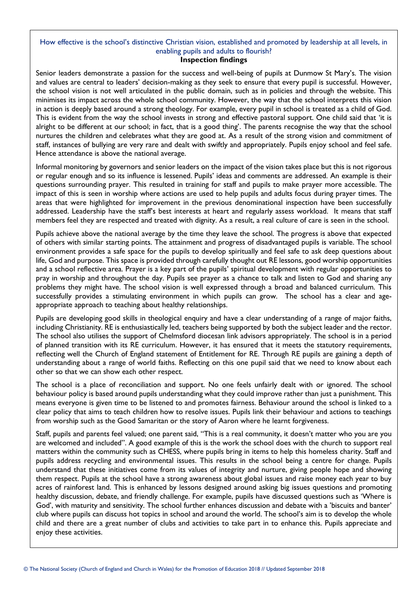# How effective is the school's distinctive Christian vision, established and promoted by leadership at all levels, in enabling pupils and adults to flourish?

# **Inspection findings**

Senior leaders demonstrate a passion for the success and well-being of pupils at Dunmow St Mary's. The vision and values are central to leaders' decision-making as they seek to ensure that every pupil is successful. However, the school vision is not well articulated in the public domain, such as in policies and through the website. This minimises its impact across the whole school community. However, the way that the school interprets this vision in action is deeply based around a strong theology. For example, every pupil in school is treated as a child of God. This is evident from the way the school invests in strong and effective pastoral support. One child said that 'it is alright to be different at our school; in fact, that is a good thing'. The parents recognise the way that the school nurtures the children and celebrates what they are good at. As a result of the strong vision and commitment of staff, instances of bullying are very rare and dealt with swiftly and appropriately. Pupils enjoy school and feel safe. Hence attendance is above the national average.

Informal monitoring by governors and senior leaders on the impact of the vision takes place but this is not rigorous or regular enough and so its influence is lessened. Pupils' ideas and comments are addressed. An example is their questions surrounding prayer. This resulted in training for staff and pupils to make prayer more accessible. The impact of this is seen in worship where actions are used to help pupils and adults focus during prayer times. The areas that were highlighted for improvement in the previous denominational inspection have been successfully addressed. Leadership have the staff's best interests at heart and regularly assess workload. It means that staff members feel they are respected and treated with dignity. As a result, a real culture of care is seen in the school.

Pupils achieve above the national average by the time they leave the school. The progress is above that expected of others with similar starting points. The attainment and progress of disadvantaged pupils is variable. The school environment provides a safe space for the pupils to develop spiritually and feel safe to ask deep questions about life, God and purpose. This space is provided through carefully thought out RE lessons, good worship opportunities and a school reflective area. Prayer is a key part of the pupils' spiritual development with regular opportunities to pray in worship and throughout the day. Pupils see prayer as a chance to talk and listen to God and sharing any problems they might have. The school vision is well expressed through a broad and balanced curriculum. This successfully provides a stimulating environment in which pupils can grow. The school has a clear and ageappropriate approach to teaching about healthy relationships.

Pupils are developing good skills in theological enquiry and have a clear understanding of a range of major faiths, including Christianity. RE is enthusiastically led, teachers being supported by both the subject leader and the rector. The school also utilises the support of Chelmsford diocesan link advisors appropriately. The school is in a period of planned transition with its RE curriculum. However, it has ensured that it meets the statutory requirements, reflecting well the Church of England statement of Entitlement for RE. Through RE pupils are gaining a depth of understanding about a range of world faiths. Reflecting on this one pupil said that we need to know about each other so that we can show each other respect.

The school is a place of reconciliation and support. No one feels unfairly dealt with or ignored. The school behaviour policy is based around pupils understanding what they could improve rather than just a punishment. This means everyone is given time to be listened to and promotes fairness. Behaviour around the school is linked to a clear policy that aims to teach children how to resolve issues. Pupils link their behaviour and actions to teachings from worship such as the Good Samaritan or the story of Aaron where he learnt forgiveness.

Staff, pupils and parents feel valued; one parent said, "This is a real community, it doesn't matter who you are you are welcomed and included". A good example of this is the work the school does with the church to support real matters within the community such as CHESS, where pupils bring in items to help this homeless charity. Staff and pupils address recycling and environmental issues. This results in the school being a centre for change. Pupils understand that these initiatives come from its values of integrity and nurture, giving people hope and showing them respect. Pupils at the school have a strong awareness about global issues and raise money each year to buy acres of rainforest land. This is enhanced by lessons designed around asking big issues questions and promoting healthy discussion, debate, and friendly challenge. For example, pupils have discussed questions such as 'Where is God', with maturity and sensitivity. The school further enhances discussion and debate with a 'biscuits and banter' club where pupils can discuss hot topics in school and around the world. The school's aim is to develop the whole child and there are a great number of clubs and activities to take part in to enhance this. Pupils appreciate and enjoy these activities.